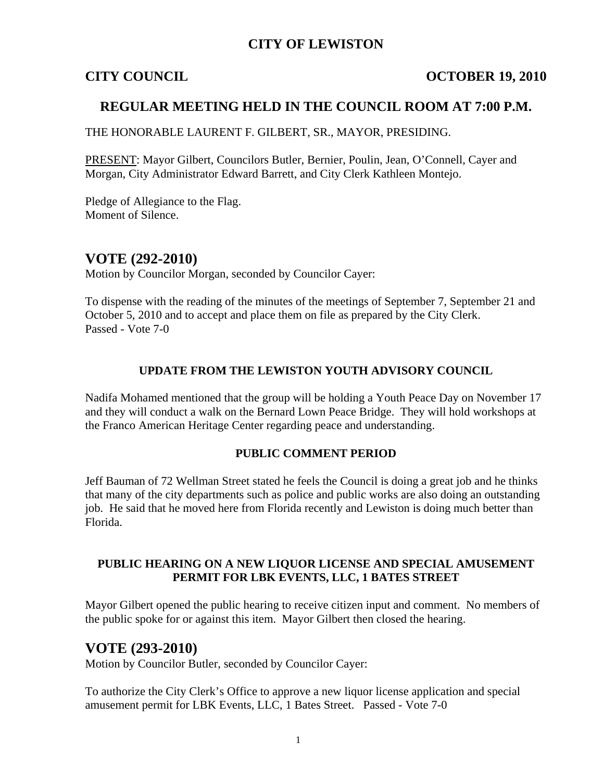## **CITY OF LEWISTON**

## **CITY COUNCIL COUNCIL COUNCIL** COUNCIL COUNCIL COUNCIL

## **REGULAR MEETING HELD IN THE COUNCIL ROOM AT 7:00 P.M.**

THE HONORABLE LAURENT F. GILBERT, SR., MAYOR, PRESIDING.

PRESENT: Mayor Gilbert, Councilors Butler, Bernier, Poulin, Jean, O'Connell, Cayer and Morgan, City Administrator Edward Barrett, and City Clerk Kathleen Montejo.

Pledge of Allegiance to the Flag. Moment of Silence.

# **VOTE (292-2010)**

Motion by Councilor Morgan, seconded by Councilor Cayer:

To dispense with the reading of the minutes of the meetings of September 7, September 21 and October 5, 2010 and to accept and place them on file as prepared by the City Clerk. Passed - Vote 7-0

### **UPDATE FROM THE LEWISTON YOUTH ADVISORY COUNCIL**

Nadifa Mohamed mentioned that the group will be holding a Youth Peace Day on November 17 and they will conduct a walk on the Bernard Lown Peace Bridge. They will hold workshops at the Franco American Heritage Center regarding peace and understanding.

### **PUBLIC COMMENT PERIOD**

Jeff Bauman of 72 Wellman Street stated he feels the Council is doing a great job and he thinks that many of the city departments such as police and public works are also doing an outstanding job. He said that he moved here from Florida recently and Lewiston is doing much better than Florida.

## **PUBLIC HEARING ON A NEW LIQUOR LICENSE AND SPECIAL AMUSEMENT PERMIT FOR LBK EVENTS, LLC, 1 BATES STREET**

Mayor Gilbert opened the public hearing to receive citizen input and comment. No members of the public spoke for or against this item. Mayor Gilbert then closed the hearing.

## **VOTE (293-2010)**

Motion by Councilor Butler, seconded by Councilor Cayer:

To authorize the City Clerk's Office to approve a new liquor license application and special amusement permit for LBK Events, LLC, 1 Bates Street. Passed - Vote 7-0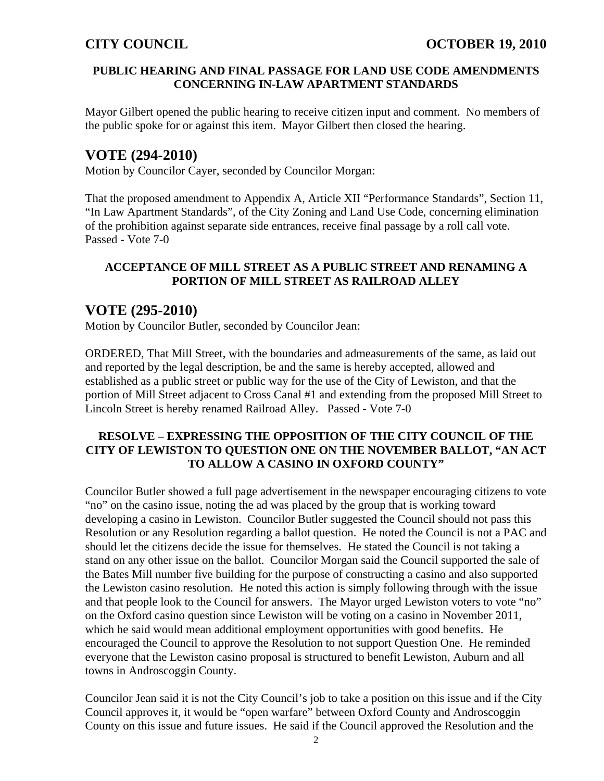## **PUBLIC HEARING AND FINAL PASSAGE FOR LAND USE CODE AMENDMENTS CONCERNING IN-LAW APARTMENT STANDARDS**

Mayor Gilbert opened the public hearing to receive citizen input and comment. No members of the public spoke for or against this item. Mayor Gilbert then closed the hearing.

# **VOTE (294-2010)**

Motion by Councilor Cayer, seconded by Councilor Morgan:

That the proposed amendment to Appendix A, Article XII "Performance Standards", Section 11, "In Law Apartment Standards", of the City Zoning and Land Use Code, concerning elimination of the prohibition against separate side entrances, receive final passage by a roll call vote. Passed - Vote 7-0

## **ACCEPTANCE OF MILL STREET AS A PUBLIC STREET AND RENAMING A PORTION OF MILL STREET AS RAILROAD ALLEY**

# **VOTE (295-2010)**

Motion by Councilor Butler, seconded by Councilor Jean:

ORDERED, That Mill Street, with the boundaries and admeasurements of the same, as laid out and reported by the legal description, be and the same is hereby accepted, allowed and established as a public street or public way for the use of the City of Lewiston, and that the portion of Mill Street adjacent to Cross Canal #1 and extending from the proposed Mill Street to Lincoln Street is hereby renamed Railroad Alley. Passed - Vote 7-0

## **RESOLVE – EXPRESSING THE OPPOSITION OF THE CITY COUNCIL OF THE CITY OF LEWISTON TO QUESTION ONE ON THE NOVEMBER BALLOT, "AN ACT TO ALLOW A CASINO IN OXFORD COUNTY"**

Councilor Butler showed a full page advertisement in the newspaper encouraging citizens to vote "no" on the casino issue, noting the ad was placed by the group that is working toward developing a casino in Lewiston. Councilor Butler suggested the Council should not pass this Resolution or any Resolution regarding a ballot question. He noted the Council is not a PAC and should let the citizens decide the issue for themselves. He stated the Council is not taking a stand on any other issue on the ballot. Councilor Morgan said the Council supported the sale of the Bates Mill number five building for the purpose of constructing a casino and also supported the Lewiston casino resolution. He noted this action is simply following through with the issue and that people look to the Council for answers. The Mayor urged Lewiston voters to vote "no" on the Oxford casino question since Lewiston will be voting on a casino in November 2011, which he said would mean additional employment opportunities with good benefits. He encouraged the Council to approve the Resolution to not support Question One. He reminded everyone that the Lewiston casino proposal is structured to benefit Lewiston, Auburn and all towns in Androscoggin County.

Councilor Jean said it is not the City Council's job to take a position on this issue and if the City Council approves it, it would be "open warfare" between Oxford County and Androscoggin County on this issue and future issues. He said if the Council approved the Resolution and the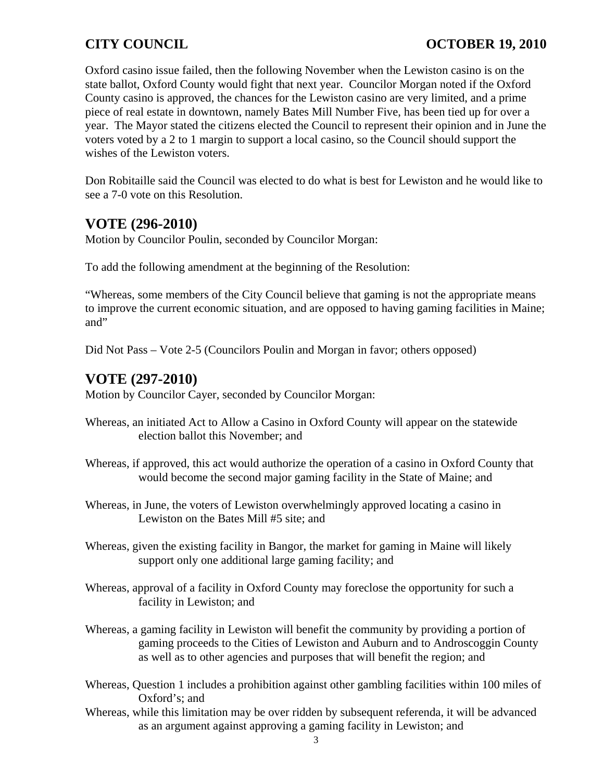Oxford casino issue failed, then the following November when the Lewiston casino is on the state ballot, Oxford County would fight that next year. Councilor Morgan noted if the Oxford County casino is approved, the chances for the Lewiston casino are very limited, and a prime piece of real estate in downtown, namely Bates Mill Number Five, has been tied up for over a year. The Mayor stated the citizens elected the Council to represent their opinion and in June the voters voted by a 2 to 1 margin to support a local casino, so the Council should support the wishes of the Lewiston voters.

Don Robitaille said the Council was elected to do what is best for Lewiston and he would like to see a 7-0 vote on this Resolution.

# **VOTE (296-2010)**

Motion by Councilor Poulin, seconded by Councilor Morgan:

To add the following amendment at the beginning of the Resolution:

"Whereas, some members of the City Council believe that gaming is not the appropriate means to improve the current economic situation, and are opposed to having gaming facilities in Maine; and"

Did Not Pass – Vote 2-5 (Councilors Poulin and Morgan in favor; others opposed)

# **VOTE (297-2010)**

Motion by Councilor Cayer, seconded by Councilor Morgan:

- Whereas, an initiated Act to Allow a Casino in Oxford County will appear on the statewide election ballot this November; and
- Whereas, if approved, this act would authorize the operation of a casino in Oxford County that would become the second major gaming facility in the State of Maine; and
- Whereas, in June, the voters of Lewiston overwhelmingly approved locating a casino in Lewiston on the Bates Mill #5 site; and
- Whereas, given the existing facility in Bangor, the market for gaming in Maine will likely support only one additional large gaming facility; and
- Whereas, approval of a facility in Oxford County may foreclose the opportunity for such a facility in Lewiston; and
- Whereas, a gaming facility in Lewiston will benefit the community by providing a portion of gaming proceeds to the Cities of Lewiston and Auburn and to Androscoggin County as well as to other agencies and purposes that will benefit the region; and
- Whereas, Question 1 includes a prohibition against other gambling facilities within 100 miles of Oxford's; and
- Whereas, while this limitation may be over ridden by subsequent referenda, it will be advanced as an argument against approving a gaming facility in Lewiston; and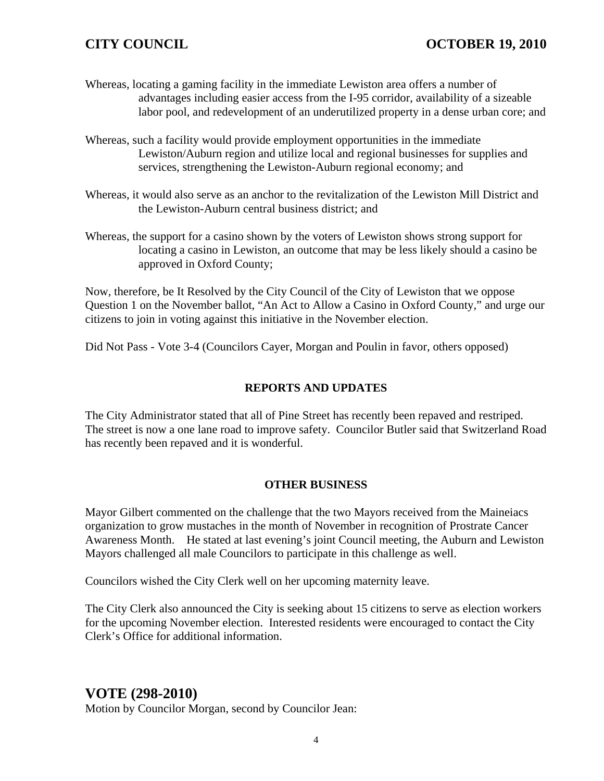## **CITY COUNCIL COUNCIL COUNCIL COUNCIL COUNCIL COUNCIL COUNCIL COUNCIL**

- Whereas, locating a gaming facility in the immediate Lewiston area offers a number of advantages including easier access from the I-95 corridor, availability of a sizeable labor pool, and redevelopment of an underutilized property in a dense urban core; and
- Whereas, such a facility would provide employment opportunities in the immediate Lewiston/Auburn region and utilize local and regional businesses for supplies and services, strengthening the Lewiston-Auburn regional economy; and
- Whereas, it would also serve as an anchor to the revitalization of the Lewiston Mill District and the Lewiston-Auburn central business district; and
- Whereas, the support for a casino shown by the voters of Lewiston shows strong support for locating a casino in Lewiston, an outcome that may be less likely should a casino be approved in Oxford County;

Now, therefore, be It Resolved by the City Council of the City of Lewiston that we oppose Question 1 on the November ballot, "An Act to Allow a Casino in Oxford County," and urge our citizens to join in voting against this initiative in the November election.

Did Not Pass - Vote 3-4 (Councilors Cayer, Morgan and Poulin in favor, others opposed)

## **REPORTS AND UPDATES**

The City Administrator stated that all of Pine Street has recently been repaved and restriped. The street is now a one lane road to improve safety. Councilor Butler said that Switzerland Road has recently been repaved and it is wonderful.

### **OTHER BUSINESS**

Mayor Gilbert commented on the challenge that the two Mayors received from the Maineiacs organization to grow mustaches in the month of November in recognition of Prostrate Cancer Awareness Month. He stated at last evening's joint Council meeting, the Auburn and Lewiston Mayors challenged all male Councilors to participate in this challenge as well.

Councilors wished the City Clerk well on her upcoming maternity leave.

The City Clerk also announced the City is seeking about 15 citizens to serve as election workers for the upcoming November election. Interested residents were encouraged to contact the City Clerk's Office for additional information.

# **VOTE (298-2010)**

Motion by Councilor Morgan, second by Councilor Jean: